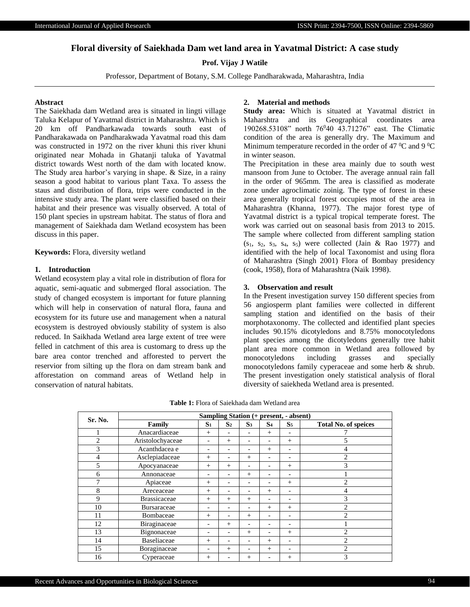# **Floral diversity of Saiekhada Dam wet land area in Yavatmal District: A case study**

# **Prof. Vijay J Watile**

Professor, Department of Botany, S.M. College Pandharakwada, Maharashtra, India

#### **Abstract**

The Saiekhada dam Wetland area is situated in lingti village Taluka Kelapur of Yavatmal district in Maharashtra. Which is 20 km off Pandharkawada towards south east of Pandharakawada on Pandharakwada Yavatmal road this dam was constructed in 1972 on the river khuni this river khuni originated near Mohada in Ghatanji taluka of Yavatmal district towards West north of the dam with located know. The Study area harbor's varying in shape. & Size, in a rainy season a good habitat to various plant Taxa. To assess the staus and distribution of flora, trips were conducted in the intensive study area. The plant were classified based on their habitat and their presence was visually observed. A total of 150 plant species in upstream habitat. The status of flora and management of Saiekhada dam Wetland ecosystem has been discuss in this paper.

**Keywords:** Flora, diversity wetland

#### **1. Introduction**

Wetland ecosystem play a vital role in distribution of flora for aquatic, semi-aquatic and submerged floral association. The study of changed ecosystem is important for future planning which will help in conservation of natural flora, fauna and ecosystem for its future use and management when a natural ecosystem is destroyed obviously stability of system is also reduced. In Saikhada Wetland area large extent of tree were felled in catchment of this area is customarg to dress up the bare area contor trenched and afforested to pervert the reservior from silting up the flora on dam stream bank and afforestation on command areas of Wetland help in conservation of natural habitats.

## **2. Material and methods**

**Study area:** Which is situated at Yavatmal district in Maharshtra and its Geographical coordinates area 190268.53108" north 76<sup>0</sup>40 43.71276" east. The Climatic condition of the area is generally dry. The Maximum and Minimum temperature recorded in the order of 47  $^{\circ}$ C and 9  $^{\circ}$ C in winter season.

The Precipitation in these area mainly due to south west mansoon from June to October. The average annual rain fall in the order of 965mm. The area is classified as moderate zone under agroclimatic zoinig. The type of forest in these area generally tropical forest occupies most of the area in Maharashtra (Khanna, 1977). The major forest type of Yavatmal district is a typical tropical temperate forest. The work was carried out on seasonal basis from 2013 to 2015. The sample where collected from different sampling station  $(s_1, s_2, s_3, s_4, s_5)$  were collected (Jain & Rao 1977) and identified with the help of local Taxonomist and using flora of Maharashtra (Singh 2001) Flora of Bombay presidency (cook, 1958), flora of Maharashtra (Naik 1998).

#### **3. Observation and result**

In the Present investigation survey 150 different species from 56 angiosperm plant families were collected in different sampling station and identified on the basis of their morphotaxonomy. The collected and identified plant species includes 90.15% dicotyledons and 8.75% monocotyledons plant species among the dicotyledons generally tree habit plant area more common in Wetland area followed by monocotyledons including grasses and specially monocotyledons family cyperaceae and some herb & shrub. The present investigation onely statistical analysis of floral diversity of saiekheda Wetland area is presented.

**Table 1:** Flora of Saiekhada dam Wetland area

| Sr. No.        | Sampling Station (+ present, - absent) |                          |                              |                          |                              |                |                             |  |  |  |
|----------------|----------------------------------------|--------------------------|------------------------------|--------------------------|------------------------------|----------------|-----------------------------|--|--|--|
|                | Family                                 | $S_1$                    | S <sub>2</sub>               | S <sub>3</sub>           | S <sub>4</sub>               | S <sub>5</sub> | <b>Total No. of speices</b> |  |  |  |
|                | Anacardiaceae                          | $^{+}$                   | $\overline{\phantom{a}}$     | $\overline{\phantom{0}}$ | $^{+}$                       | -              |                             |  |  |  |
| $\overline{2}$ | Aristolochyaceae                       | $\overline{\phantom{0}}$ | $+$                          |                          | $\overline{\phantom{0}}$     | $^{+}$         |                             |  |  |  |
| 3              | Acanthdacea e                          | -                        | $\qquad \qquad$              |                          | $^{+}$                       | -              |                             |  |  |  |
| $\overline{4}$ | Asclepiadaceae                         | $^{+}$                   | $\overline{\phantom{0}}$     | $^{+}$                   | $\overline{\phantom{0}}$     | -              | $\overline{c}$              |  |  |  |
| 5              | Apocyanaceae                           | $^{+}$                   | $^{+}$                       |                          | $\overline{\phantom{0}}$     | $^{+}$         | 3                           |  |  |  |
| 6              | Annonaceae                             |                          | $\qquad \qquad$              | $^{+}$                   |                              | -              |                             |  |  |  |
| 7              | Apiaceae                               | $^{+}$                   | $\overline{\phantom{a}}$     | $\overline{\phantom{a}}$ | $\overline{\phantom{0}}$     | $^{+}$         | $\mathfrak{D}$              |  |  |  |
| 8              | Areceaceae                             | $^{+}$                   | $\overline{\phantom{0}}$     |                          | $^{+}$                       | -              | 4                           |  |  |  |
| 9              | <b>Brassicaceae</b>                    | $^{+}$                   | $+$                          | $^{+}$                   | $\overline{\phantom{0}}$     | -              | 3                           |  |  |  |
| 10             | <b>Bursaraceae</b>                     | $\overline{\phantom{0}}$ | $\overline{\phantom{0}}$     | ۰                        | $^{+}$                       | $^{+}$         | $\overline{c}$              |  |  |  |
| 11             | Bombaceae                              | $^{+}$                   | $\qquad \qquad \blacksquare$ | $^{+}$                   | $\qquad \qquad \blacksquare$ | -              | $\overline{2}$              |  |  |  |
| 12             | Biraginaceae                           | $\overline{\phantom{a}}$ | $+$                          | $\overline{\phantom{a}}$ | $\overline{\phantom{0}}$     | -              |                             |  |  |  |
| 13             | Bignonaceae                            | $\overline{\phantom{0}}$ | $\overline{\phantom{0}}$     | $^{+}$                   | $\overline{\phantom{0}}$     | $^{+}$         | $\mathfrak{D}$              |  |  |  |
| 14             | <b>Baseliaceae</b>                     | $^{+}$                   | $\overline{\phantom{0}}$     |                          | $^{+}$                       | -              | $\mathfrak{D}$              |  |  |  |
| 15             | Boraginaceae                           | -                        | $+$                          | ۰                        | $^{+}$                       | -              | $\mathfrak{D}$              |  |  |  |
| 16             | Cyperaceae                             | $^{+}$                   |                              | $^{+}$                   |                              | $^{+}$         | 3                           |  |  |  |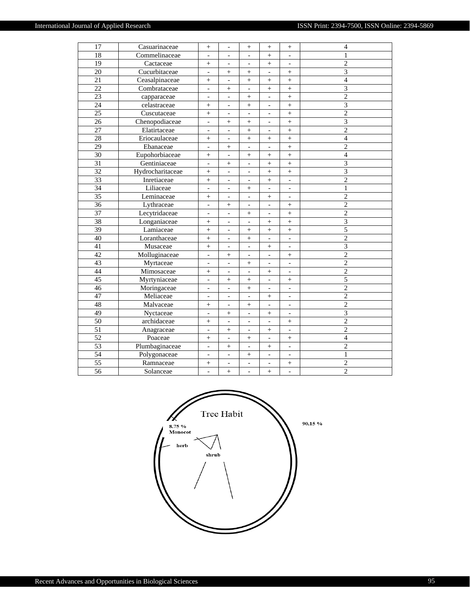| $\overline{17}$ | Casuarinaceae    | $\! + \!\!\!\!$                  | $\overline{\phantom{0}}$ | $\! + \!\!\!\!$          | $\! + \!\!\!\!$              | $\! + \!\!\!\!$          | $\overline{4}$          |
|-----------------|------------------|----------------------------------|--------------------------|--------------------------|------------------------------|--------------------------|-------------------------|
| 18              | Commelinaceae    | $\overline{a}$                   |                          |                          | $\ddot{}$                    | $\overline{a}$           | 1                       |
| 19              | Cactaceae        | $^{+}$                           |                          | $\overline{\phantom{0}}$ | $\ddot{+}$                   | $\qquad \qquad \Box$     | $\overline{2}$          |
| $\overline{20}$ | Cucurbitaceae    | $\overline{\phantom{a}}$         | $^{+}$                   | $^{+}$                   | $\overline{a}$               | $^{+}$                   | $\overline{3}$          |
| 21              | Ceasalpinaceae   | $^{+}$                           | $\equiv$                 | $\ddot{}$                | $+$                          | $\ddot{}$                | $\overline{4}$          |
| 22              | Combrataceae     | $\overline{\phantom{a}}$         | $^{+}$                   | $\overline{\phantom{0}}$ | $^{+}$                       | $^{+}$                   | 3                       |
| $\overline{23}$ | capparaceae      | $\overline{\phantom{a}}$         | $\overline{\phantom{m}}$ | $^{+}$                   | $\overline{\phantom{0}}$     | $\ddot{}$                | $\overline{2}$          |
| 24              | celastraceae     | $^{+}$                           | $\overline{a}$           | $^{+}$                   | $\overline{a}$               | $^{+}$                   | $\overline{3}$          |
| $\overline{25}$ | Cuscutaceae      | $^{+}$                           | $\overline{\phantom{a}}$ | $\overline{\phantom{0}}$ | $\overline{\phantom{a}}$     | $\ddot{}$                | $\overline{2}$          |
| 26              | Chenopodiaceae   | $\overline{\phantom{a}}$         | $^{+}$                   | $^{+}$                   |                              | $^{+}$                   | $\overline{\mathbf{3}}$ |
| 27              | Elatirtaceae     |                                  |                          | $\ddot{}$                |                              | $\ddot{}$                | $\overline{2}$          |
| 28              | Eriocaulaceae    | $^{+}$                           | $\overline{\phantom{a}}$ | $\ddot{}$                | $\ddot{}$                    | $\ddot{}$                | $\overline{4}$          |
| 29              | Ebanaceae        | $\overline{\phantom{a}}$         | $^{+}$                   | $\frac{1}{2}$            | $\overline{a}$               | $^{+}$                   | $\overline{2}$          |
| 30              | Eupohorbiaceae   | $\! + \!\!\!\!$                  | $\overline{\phantom{a}}$ | $^{+}$                   |                              | $\boldsymbol{+}$         | $\overline{4}$          |
| 31              | Gentiniaceae     | $\overline{\phantom{a}}$         | $^{+}$                   | $\overline{\phantom{0}}$ | $\qquad \qquad +$            | $^{+}$                   | $\overline{3}$          |
| 32              | Hydrocharitaceae | $\begin{array}{c} + \end{array}$ | $\blacksquare$           | $\overline{\phantom{0}}$ | $^{+}$                       | $^{+}$                   | $\overline{3}$          |
| 33              | Inretiaceae      | $^{+}$                           | $\frac{1}{2}$            | $\overline{\phantom{0}}$ | $^{+}$                       | $\overline{a}$           | $\overline{2}$          |
| $\overline{34}$ | Liliaceae        | $\overline{\phantom{a}}$         | $\overline{\phantom{a}}$ | $^{+}$                   |                              | $\overline{a}$           | 1                       |
| $\overline{35}$ | Leminaceae       | $^{+}$                           | $\overline{\phantom{a}}$ | $\overline{a}$           | $\ddot{}$                    | $\overline{a}$           | $\overline{2}$          |
| 36              | Lythraceae       | $\overline{\phantom{a}}$         | $^{+}$                   | $\overline{a}$           | $\overline{a}$               | $^{+}$                   | $\overline{c}$          |
| 37              | Lecytridaceae    | $\overline{\phantom{a}}$         | $\overline{\phantom{a}}$ | $^{+}$                   | $\frac{1}{2}$                | $^{+}$                   | $\overline{c}$          |
| 38              | Longaniaceae     | $^{+}$                           | $\overline{\phantom{a}}$ | $\overline{\phantom{0}}$ | $^{+}$                       | $^{+}$                   | 3                       |
| 39              | Lamiaceae        | $^{+}$                           | $\qquad \qquad -$        | $^{+}$                   | $\ddot{}$                    | $\ddot{}$                | 5                       |
| 40              | Loranthaceae     | $^{+}$                           | $\frac{1}{2}$            | $^{+}$                   | $\overline{\phantom{a}}$     | $\overline{a}$           | $\overline{c}$          |
| 41              | Musaceae         | $+$                              | $\overline{\phantom{a}}$ | $\overline{a}$           | $+$                          | $\overline{a}$           | $\overline{3}$          |
| 42              | Molluginaceae    | $\overline{\phantom{0}}$         | $^{+}$                   | $\overline{\phantom{0}}$ | $\qquad \qquad \blacksquare$ | $^{+}$                   | $\overline{2}$          |
| 43              | Myrtaceae        | $\overline{a}$                   | $\overline{a}$           | $^{+}$                   |                              | $\overline{a}$           | $\overline{2}$          |
| 44              | Mimosaceae       | $^{+}$                           | $\overline{\phantom{a}}$ | $\overline{\phantom{0}}$ | $\ddot{}$                    | $\overline{\phantom{a}}$ | $\overline{2}$          |
| 45              | Myrtyniaceae     | $\overline{\phantom{a}}$         | $^{+}$                   | $^{+}$                   | $\overline{a}$               | $^{+}$                   | 5                       |
| 46              | Moringaceae      | $\overline{\phantom{a}}$         | $\overline{\phantom{a}}$ | $\! + \!\!\!\!$          | $\overline{\phantom{a}}$     | $\overline{\phantom{a}}$ | $\mathbf{2}$            |
| 47              | Meliaceae        | $\overline{\phantom{a}}$         | $\qquad \qquad -$        | $\overline{\phantom{0}}$ | $^{+}$                       | $\overline{\phantom{a}}$ | $\overline{2}$          |
| 48              | Malvaceae        | $^{+}$                           | $\equiv$                 | $^{+}$                   | $\overline{\phantom{a}}$     | $\overline{\phantom{a}}$ | $\overline{2}$          |
| 49              | Nyctaceae        | $\blacksquare$                   | $^{+}$                   | $\overline{a}$           | $\! + \!\!\!\!$              | $\overline{\phantom{a}}$ | $\overline{3}$          |
| 50              | archidaceae      | $^{+}$                           | $\overline{a}$           | $\overline{\phantom{0}}$ |                              | $^{+}$                   | $\overline{2}$          |
| 51              | Anagraceae       | $\overline{a}$                   | $^{+}$                   | $\overline{a}$           | $\ddot{}$                    | $\overline{a}$           | $\overline{2}$          |
| 52              | Poaceae          | $^{+}$                           | $\frac{1}{2}$            | $^{+}$                   | $\overline{a}$               | $^{+}$                   | $\overline{4}$          |
| 53              | Plumbaginaceae   | $\overline{\phantom{a}}$         | $^{+}$                   | $\overline{\phantom{a}}$ | $^{+}$                       | $\overline{\phantom{m}}$ | $\overline{c}$          |
| 54              | Polygonaceae     | $\overline{\phantom{a}}$         | $\blacksquare$           | $\! + \!\!\!\!$          | $\blacksquare$               | $\overline{\phantom{a}}$ | 1                       |
| 55              | Ramnaceae        | $^+$                             | $\overline{\phantom{a}}$ | $\overline{a}$           | $\frac{1}{2}$                | $\! + \!$                | $\sqrt{2}$              |
| $\overline{56}$ | Solanceae        | $\blacksquare$                   | $^{+}$                   | $\overline{\phantom{0}}$ | $^{+}$                       | $\overline{a}$           | $\overline{2}$          |